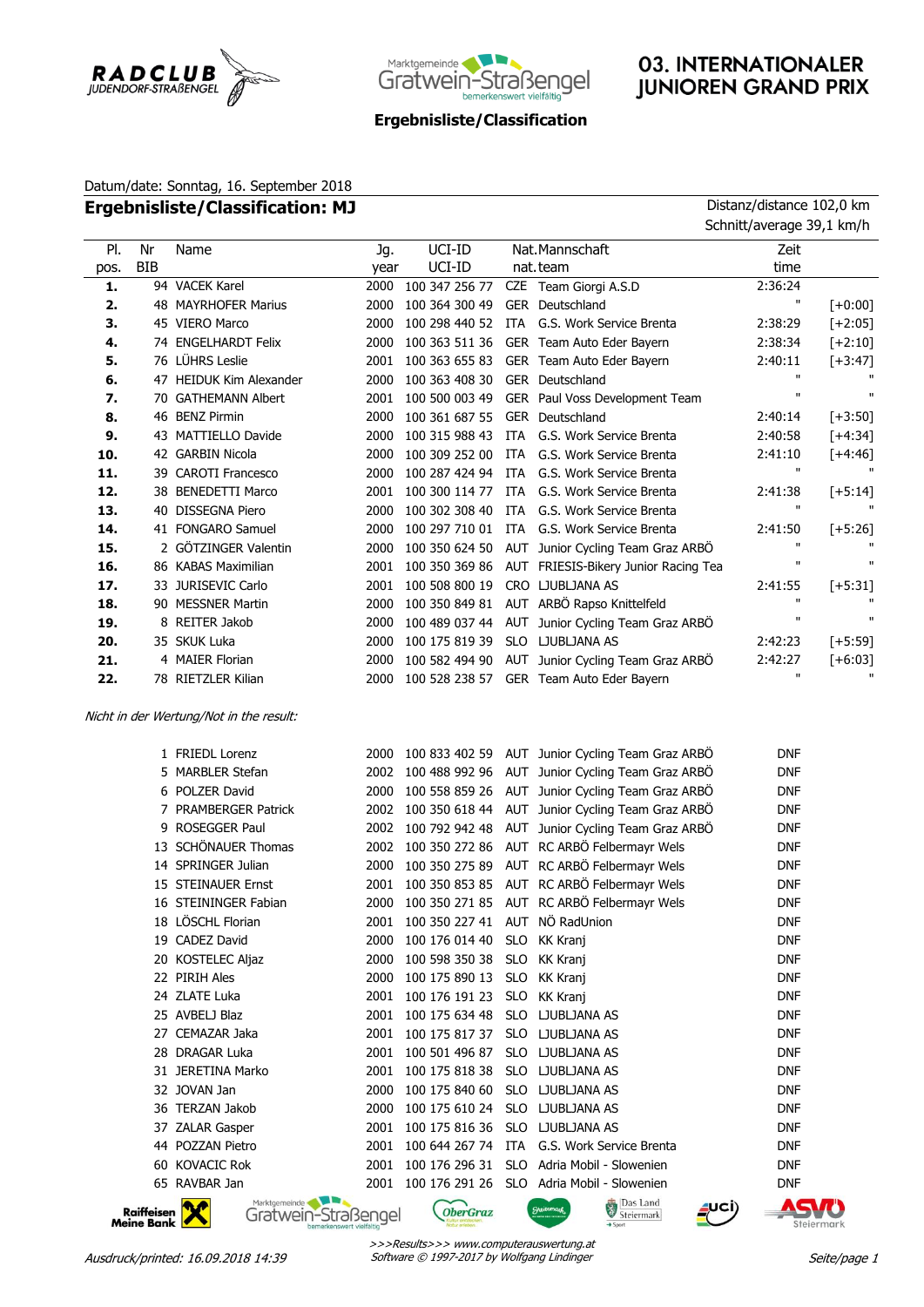



# 03. INTERNATIONALER **JUNIOREN GRAND PRIX**

### **Ergebnisliste/Classification**

## Datum/date: Sonntag, 16. September 2018 **Ergebnisliste/Classification: MJ** Distanz/distance 102,0 km

|             |                                 |                                                                |             |                  |            |                                                                    | Schnitt/average 39,1 km/h |                |
|-------------|---------------------------------|----------------------------------------------------------------|-------------|------------------|------------|--------------------------------------------------------------------|---------------------------|----------------|
| PI.<br>pos. | Nr<br><b>BIB</b>                | Name                                                           | Jg.<br>year | UCI-ID<br>UCI-ID |            | Nat.Mannschaft<br>nat.team                                         | Zeit<br>time              |                |
| 1.          |                                 | 94 VACEK Karel                                                 | 2000        | 100 347 256 77   |            | CZE Team Giorgi A.S.D                                              | 2:36:24                   |                |
| 2.          |                                 | <b>48 MAYRHOFER Marius</b>                                     | 2000        | 100 364 300 49   |            | GER Deutschland                                                    | $\mathbf{u}$              | $[+0:00]$      |
| 3.          |                                 | 45 VIERO Marco                                                 | 2000        | 100 298 440 52   |            | ITA G.S. Work Service Brenta                                       | 2:38:29                   | $[+2:05]$      |
| 4.          |                                 | 74 ENGELHARDT Felix                                            | 2000        | 100 363 511 36   |            | GER Team Auto Eder Bayern                                          | 2:38:34                   | $[+2:10]$      |
| 5.          |                                 | 76 LÜHRS Leslie                                                | 2001        | 100 363 655 83   |            | GER Team Auto Eder Bayern                                          | 2:40:11                   | $[-3:47]$      |
| 6.          |                                 | 47 HEIDUK Kim Alexander                                        | 2000        | 100 363 408 30   |            | GER Deutschland                                                    | $\mathbf{H}$              |                |
| 7.          |                                 | 70 GATHEMANN Albert                                            | 2001        | 100 500 003 49   |            | GER Paul Voss Development Team                                     | $\mathbf{u}$              | $\mathbf{u}$   |
| 8.          |                                 | 46 BENZ Pirmin                                                 | 2000        | 100 361 687 55   |            | <b>GER</b> Deutschland                                             | 2:40:14                   | $[-3:50]$      |
| 9.          |                                 | 43 MATTIELLO Davide                                            | 2000        | 100 315 988 43   | ITA        | G.S. Work Service Brenta                                           | 2:40:58                   | $[+4:34]$      |
| 10.         |                                 | 42 GARBIN Nicola                                               | 2000        | 100 309 252 00   | ITA        | G.S. Work Service Brenta                                           | 2:41:10                   | $[+4:46]$      |
| 11.         |                                 | 39 CAROTI Francesco                                            | 2000        | 100 287 424 94   | ITA        | G.S. Work Service Brenta                                           | $\mathbf{u}$              | $\mathbf{u}$   |
| 12.         |                                 | 38 BENEDETTI Marco                                             | 2001        | 100 300 114 77   | ITA        | G.S. Work Service Brenta                                           | 2:41:38                   | $[-5:14]$      |
| 13.         |                                 | 40 DISSEGNA Piero                                              | 2000        | 100 302 308 40   | <b>ITA</b> | G.S. Work Service Brenta                                           | $\mathbf{u}$              | $\mathbf{u}$   |
| 14.         |                                 | 41 FONGARO Samuel                                              | 2000        | 100 297 710 01   | ITA        | G.S. Work Service Brenta                                           | 2:41:50                   | $[-5:26]$      |
| 15.         |                                 | 2 GÖTZINGER Valentin                                           | 2000        | 100 350 624 50   | AUT        | Junior Cycling Team Graz ARBO                                      | $\mathbf{H}$              |                |
| 16.         |                                 | 86 KABAS Maximilian                                            | 2001        | 100 350 369 86   |            | AUT FRIESIS-Bikery Junior Racing Tea                               | $\mathbf{u}$              | $\blacksquare$ |
| 17.         |                                 | 33 JURISEVIC Carlo                                             | 2001        | 100 508 800 19   |            | CRO LJUBLJANA AS                                                   | 2:41:55                   | $[+5:31]$      |
| 18.         |                                 | 90 MESSNER Martin                                              | 2000        | 100 350 849 81   |            | AUT ARBÖ Rapso Knittelfeld                                         | $\mathbf{H}$              |                |
| 19.         |                                 | 8 REITER Jakob                                                 | 2000        | 100 489 037 44   |            | AUT Junior Cycling Team Graz ARBÖ                                  | $\mathbf{u}$              | $\blacksquare$ |
| 20.         |                                 | 35 SKUK Luka                                                   | 2000        | 100 175 819 39   |            | SLO LJUBLJANA AS                                                   | 2:42:23                   | $[-5:59]$      |
| 21.         |                                 | 4 MAIER Florian                                                | 2000        | 100 582 494 90   |            | AUT Junior Cycling Team Graz ARBÖ                                  | 2:42:27                   | $[+6:03]$      |
| 22.         |                                 | 78 RIETZLER Kilian                                             | 2000        | 100 528 238 57   |            | GER Team Auto Eder Bayern                                          | $\mathbf{H}$              |                |
|             |                                 | Nicht in der Wertung/Not in the result:<br>1 FRIEDL Lorenz     | 2000        | 100 833 402 59   |            | AUT Junior Cycling Team Graz ARBO                                  | <b>DNF</b>                |                |
|             |                                 | 5 MARBLER Stefan                                               | 2002        | 100 488 992 96   |            | AUT Junior Cycling Team Graz ARBÖ                                  | <b>DNF</b>                |                |
|             |                                 | 6 POLZER David                                                 | 2000        | 100 558 859 26   |            | AUT Junior Cycling Team Graz ARBÖ                                  | <b>DNF</b>                |                |
|             |                                 | 7 PRAMBERGER Patrick                                           | 2002        | 100 350 618 44   |            | AUT Junior Cycling Team Graz ARBÖ                                  | <b>DNF</b>                |                |
|             |                                 | 9 ROSEGGER Paul                                                | 2002        | 100 792 942 48   |            | AUT Junior Cycling Team Graz ARBÖ                                  | <b>DNF</b>                |                |
|             |                                 | 13 SCHÖNAUER Thomas                                            | 2002        | 100 350 272 86   |            | AUT RC ARBÖ Felbermayr Wels                                        | <b>DNF</b>                |                |
|             |                                 | 14 SPRINGER Julian                                             | 2000        | 100 350 275 89   |            | AUT RC ARBÖ Felbermayr Wels                                        | <b>DNF</b>                |                |
|             |                                 | 15 STEINAUER Ernst                                             | 2001        | 100 350 853 85   |            | AUT RC ARBÖ Felbermayr Wels                                        | <b>DNF</b>                |                |
|             |                                 | 16 STEININGER Fabian                                           |             |                  |            | 2000 100 350 271 85 AUT RC ARBÖ Felbermayr Wels                    | DNF                       |                |
|             |                                 | 18 LOSCHL Florian                                              | 2001        | 100 350 227 41   | AUT        | NÖ RadUnion                                                        | DNF                       |                |
|             |                                 | 19 CADEZ David                                                 | 2000        | 100 176 014 40   | <b>SLO</b> | <b>KK Kranj</b>                                                    | DNF                       |                |
|             |                                 | 20 KOSTELEC Aljaz                                              | 2000        | 100 598 350 38   | <b>SLO</b> | <b>KK Kranj</b>                                                    | DNF                       |                |
|             |                                 | 22 PIRIH Ales                                                  | 2000        | 100 175 890 13   | <b>SLO</b> | <b>KK Kranj</b>                                                    | DNF                       |                |
|             |                                 | 24 ZLATE Luka                                                  | 2001        | 100 176 191 23   | <b>SLO</b> | <b>KK Kranj</b>                                                    | DNF                       |                |
|             |                                 | 25 AVBELJ Blaz                                                 | 2001        | 100 175 634 48   | <b>SLO</b> | LJUBLJANA AS                                                       | DNF                       |                |
|             |                                 | 27 CEMAZAR Jaka                                                | 2001        | 100 175 817 37   | <b>SLO</b> | LJUBLJANA AS                                                       | DNF                       |                |
|             |                                 | 28 DRAGAR Luka                                                 | 2001        | 100 501 496 87   | <b>SLO</b> | LJUBLJANA AS                                                       | DNF                       |                |
|             |                                 | 31 JERETINA Marko                                              | 2001        | 100 175 818 38   | <b>SLO</b> | LJUBLJANA AS                                                       | DNF                       |                |
|             |                                 | 32 JOVAN Jan                                                   | 2000        | 100 175 840 60   | <b>SLO</b> | LJUBLJANA AS                                                       | <b>DNF</b>                |                |
|             |                                 | 36 TERZAN Jakob                                                | 2000        | 100 175 610 24   | <b>SLO</b> | LJUBLJANA AS                                                       | DNF                       |                |
|             |                                 | 37 ZALAR Gasper                                                | 2001        | 100 175 816 36   | <b>SLO</b> | LJUBLJANA AS                                                       | DNF                       |                |
|             |                                 | 44 POZZAN Pietro                                               | 2001        | 100 644 267 74   | ITA        | G.S. Work Service Brenta                                           | <b>DNF</b>                |                |
|             |                                 | 60 KOVACIC Rok                                                 | 2001        | 100 176 296 31   | <b>SLO</b> | Adria Mobil - Slowenien                                            | DNF                       |                |
|             |                                 | 65 RAVBAR Jan                                                  | 2001        | 100 176 291 26   | <b>SLO</b> | Adria Mobil - Slowenien                                            | DNF                       |                |
|             | Raiffeisen<br><b>Meine Bank</b> | Marktgemeinde<br>Gratwein-Straßengel<br>bemerkenswert vielfält |             | <b>OberGraz</b>  |            | Das Land<br>Steiermark<br>UCI)<br>Greitungs<br>$\rightarrow$ Sport | Steiermark                |                |
|             |                                 |                                                                |             |                  |            |                                                                    |                           |                |

>>>Results>>> www.computerauswertung.at Ausdruck/printed: 16.09.2018 14:39 Software © 1997-2017 by Wolfgang Lindinger